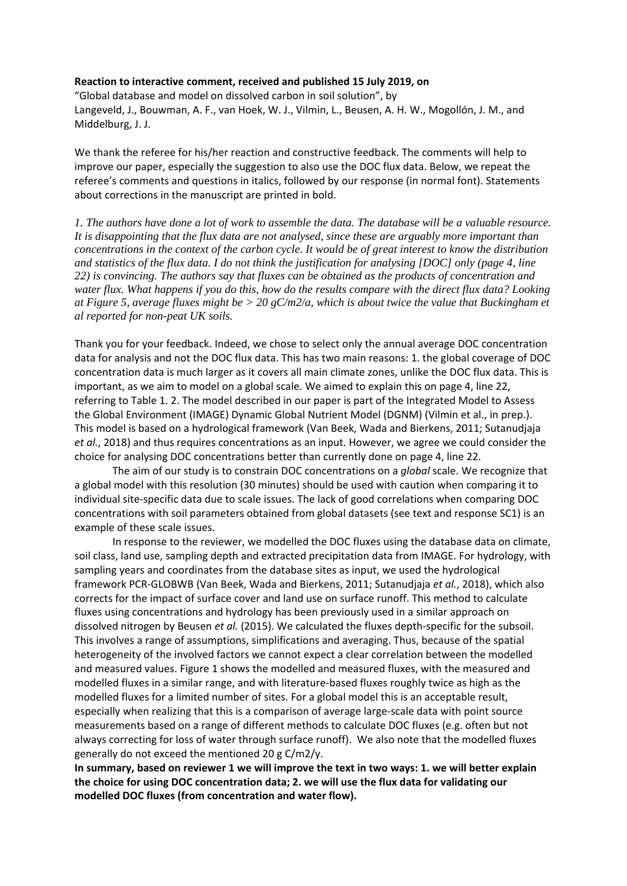## **Reaction to interactive comment, received and published 15 July 2019, on**

"Global database and model on dissolved carbon in soil solution", by Langeveld, J., Bouwman, A. F., van Hoek, W. J., Vilmin, L., Beusen, A. H. W., Mogollón, J. M., and Middelburg, J. J.

We thank the referee for his/her reaction and constructive feedback. The comments will help to improve our paper, especially the suggestion to also use the DOC flux data. Below, we repeat the referee's comments and questions in italics, followed by our response (in normal font). Statements about corrections in the manuscript are printed in bold.

*1. The authors have done a lot of work to assemble the data. The database will be a valuable resource. It is disappointing that the flux data are not analysed, since these are arguably more important than concentrations in the context of the carbon cycle. It would be of great interest to know the distribution and statistics of the flux data. I do not think the justification for analysing [DOC] only (page 4, line 22) is convincing. The authors say that fluxes can be obtained as the products of concentration and water flux. What happens if you do this, how do the results compare with the direct flux data? Looking at Figure 5, average fluxes might be > 20 gC/m2/a, which is about twice the value that Buckingham et al reported for non-peat UK soils.* 

Thank you for your feedback. Indeed, we chose to select only the annual average DOC concentration data for analysis and not the DOC flux data. This has two main reasons: 1. the global coverage of DOC concentration data is much larger as it covers all main climate zones, unlike the DOC flux data. This is important, as we aim to model on a global scale. We aimed to explain this on page 4, line 22, referring to Table 1. 2. The model described in our paper is part of the Integrated Model to Assess the Global Environment (IMAGE) Dynamic Global Nutrient Model (DGNM) (Vilmin et al., in prep.). This model is based on a hydrological framework (Van Beek, Wada and Bierkens, 2011; Sutanudjaja *et al.*, 2018) and thus requires concentrations as an input. However, we agree we could consider the choice for analysing DOC concentrations better than currently done on page 4, line 22.

The aim of our study is to constrain DOC concentrations on a *global* scale. We recognize that a global model with this resolution (30 minutes) should be used with caution when comparing it to individual site-specific data due to scale issues. The lack of good correlations when comparing DOC concentrations with soil parameters obtained from global datasets (see text and response SC1) is an example of these scale issues.

In response to the reviewer, we modelled the DOC fluxes using the database data on climate, soil class, land use, sampling depth and extracted precipitation data from IMAGE. For hydrology, with sampling years and coordinates from the database sites as input, we used the hydrological framework PCR-GLOBWB (Van Beek, Wada and Bierkens, 2011; Sutanudjaja *et al.*, 2018), which also corrects for the impact of surface cover and land use on surface runoff. This method to calculate fluxes using concentrations and hydrology has been previously used in a similar approach on dissolved nitrogen by Beusen *et al.* (2015). We calculated the fluxes depth-specific for the subsoil. This involves a range of assumptions, simplifications and averaging. Thus, because of the spatial heterogeneity of the involved factors we cannot expect a clear correlation between the modelled and measured values. Figure 1 shows the modelled and measured fluxes, with the measured and modelled fluxes in a similar range, and with literature-based fluxes roughly twice as high as the modelled fluxes for a limited number of sites. For a global model this is an acceptable result, especially when realizing that this is a comparison of average large-scale data with point source measurements based on a range of different methods to calculate DOC fluxes (e.g. often but not always correcting for loss of water through surface runoff). We also note that the modelled fluxes generally do not exceed the mentioned 20 g C/m2/y.

**In summary, based on reviewer 1 we will improve the text in two ways: 1. we will better explain the choice for using DOC concentration data; 2. we will use the flux data for validating our modelled DOC fluxes (from concentration and water flow).**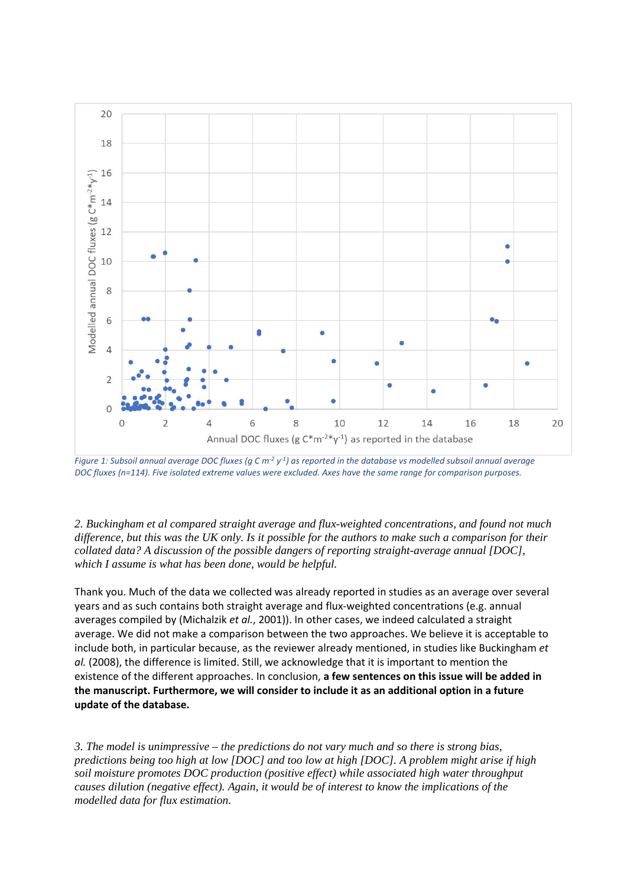

*Figure 1: Subsoil annual average DOC fluxes (g C m-2 y-1) as reported in the database vs modelled subsoil annual average DOC fluxes (n=114). Five isolated extreme values were excluded. Axes have the same range for comparison purposes.* 

*2. Buckingham et al compared straight average and flux-weighted concentrations, and found not much difference, but this was the UK only. Is it possible for the authors to make such a comparison for their collated data? A discussion of the possible dangers of reporting straight-average annual [DOC], which I assume is what has been done, would be helpful.* 

Thank you. Much of the data we collected was already reported in studies as an average over several years and as such contains both straight average and flux-weighted concentrations (e.g. annual averages compiled by (Michalzik *et al.*, 2001)). In other cases, we indeed calculated a straight average. We did not make a comparison between the two approaches. We believe it is acceptable to include both, in particular because, as the reviewer already mentioned, in studies like Buckingham *et al.* (2008), the difference is limited. Still, we acknowledge that it is important to mention the existence of the different approaches. In conclusion, **a few sentences on this issue will be added in the manuscript. Furthermore, we will consider to include it as an additional option in a future update of the database.**

*3. The model is unimpressive – the predictions do not vary much and so there is strong bias, predictions being too high at low [DOC] and too low at high [DOC]. A problem might arise if high soil moisture promotes DOC production (positive effect) while associated high water throughput causes dilution (negative effect). Again, it would be of interest to know the implications of the modelled data for flux estimation.*